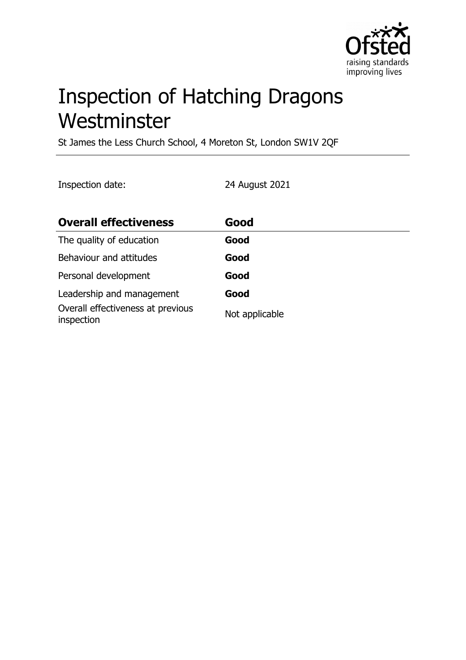

# Inspection of Hatching Dragons **Westminster**

St James the Less Church School, 4 Moreton St, London SW1V 2QF

Inspection date: 24 August 2021

| <b>Overall effectiveness</b>                    | Good           |
|-------------------------------------------------|----------------|
| The quality of education                        | Good           |
| Behaviour and attitudes                         | Good           |
| Personal development                            | Good           |
| Leadership and management                       | Good           |
| Overall effectiveness at previous<br>inspection | Not applicable |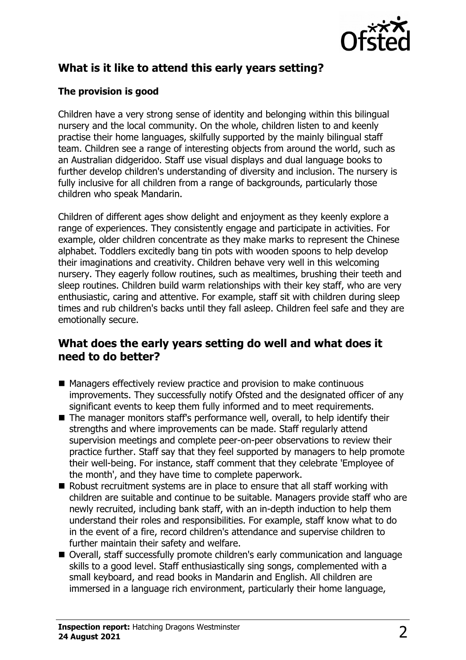

# **What is it like to attend this early years setting?**

### **The provision is good**

Children have a very strong sense of identity and belonging within this bilingual nursery and the local community. On the whole, children listen to and keenly practise their home languages, skilfully supported by the mainly bilingual staff team. Children see a range of interesting objects from around the world, such as an Australian didgeridoo. Staff use visual displays and dual language books to further develop children's understanding of diversity and inclusion. The nursery is fully inclusive for all children from a range of backgrounds, particularly those children who speak Mandarin.

Children of different ages show delight and enjoyment as they keenly explore a range of experiences. They consistently engage and participate in activities. For example, older children concentrate as they make marks to represent the Chinese alphabet. Toddlers excitedly bang tin pots with wooden spoons to help develop their imaginations and creativity. Children behave very well in this welcoming nursery. They eagerly follow routines, such as mealtimes, brushing their teeth and sleep routines. Children build warm relationships with their key staff, who are very enthusiastic, caring and attentive. For example, staff sit with children during sleep times and rub children's backs until they fall asleep. Children feel safe and they are emotionally secure.

## **What does the early years setting do well and what does it need to do better?**

- $\blacksquare$  Managers effectively review practice and provision to make continuous improvements. They successfully notify Ofsted and the designated officer of any significant events to keep them fully informed and to meet requirements.
- $\blacksquare$  The manager monitors staff's performance well, overall, to help identify their strengths and where improvements can be made. Staff regularly attend supervision meetings and complete peer-on-peer observations to review their practice further. Staff say that they feel supported by managers to help promote their well-being. For instance, staff comment that they celebrate 'Employee of the month', and they have time to complete paperwork.
- $\blacksquare$  Robust recruitment systems are in place to ensure that all staff working with children are suitable and continue to be suitable. Managers provide staff who are newly recruited, including bank staff, with an in-depth induction to help them understand their roles and responsibilities. For example, staff know what to do in the event of a fire, record children's attendance and supervise children to further maintain their safety and welfare.
- Overall, staff successfully promote children's early communication and language skills to a good level. Staff enthusiastically sing songs, complemented with a small keyboard, and read books in Mandarin and English. All children are immersed in a language rich environment, particularly their home language,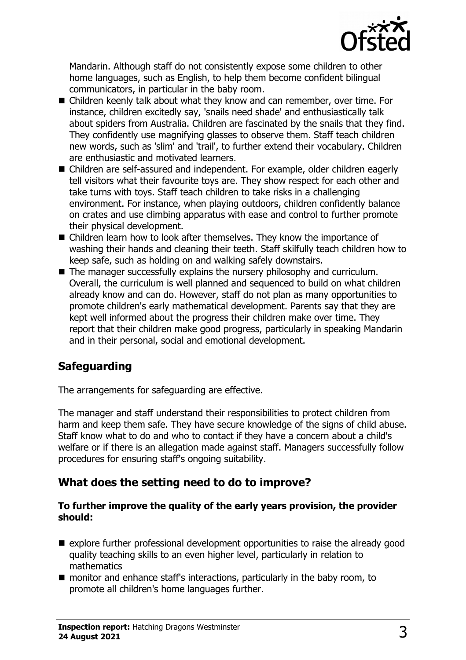

Mandarin. Although staff do not consistently expose some children to other home languages, such as English, to help them become confident bilingual communicators, in particular in the baby room.

- Children keenly talk about what they know and can remember, over time. For instance, children excitedly say, 'snails need shade' and enthusiastically talk about spiders from Australia. Children are fascinated by the snails that they find. They confidently use magnifying glasses to observe them. Staff teach children new words, such as 'slim' and 'trail', to further extend their vocabulary. Children are enthusiastic and motivated learners.
- Children are self-assured and independent. For example, older children eagerly tell visitors what their favourite toys are. They show respect for each other and take turns with toys. Staff teach children to take risks in a challenging environment. For instance, when playing outdoors, children confidently balance on crates and use climbing apparatus with ease and control to further promote their physical development.
- Children learn how to look after themselves. They know the importance of washing their hands and cleaning their teeth. Staff skilfully teach children how to keep safe, such as holding on and walking safely downstairs.
- $\blacksquare$  The manager successfully explains the nursery philosophy and curriculum. Overall, the curriculum is well planned and sequenced to build on what children already know and can do. However, staff do not plan as many opportunities to promote children's early mathematical development. Parents say that they are kept well informed about the progress their children make over time. They report that their children make good progress, particularly in speaking Mandarin and in their personal, social and emotional development.

# **Safeguarding**

The arrangements for safeguarding are effective.

The manager and staff understand their responsibilities to protect children from harm and keep them safe. They have secure knowledge of the signs of child abuse. Staff know what to do and who to contact if they have a concern about a child's welfare or if there is an allegation made against staff. Managers successfully follow procedures for ensuring staff's ongoing suitability.

# **What does the setting need to do to improve?**

#### **To further improve the quality of the early years provision, the provider should:**

- $\blacksquare$  explore further professional development opportunities to raise the already good quality teaching skills to an even higher level, particularly in relation to mathematics
- $\blacksquare$  monitor and enhance staff's interactions, particularly in the baby room, to promote all children's home languages further.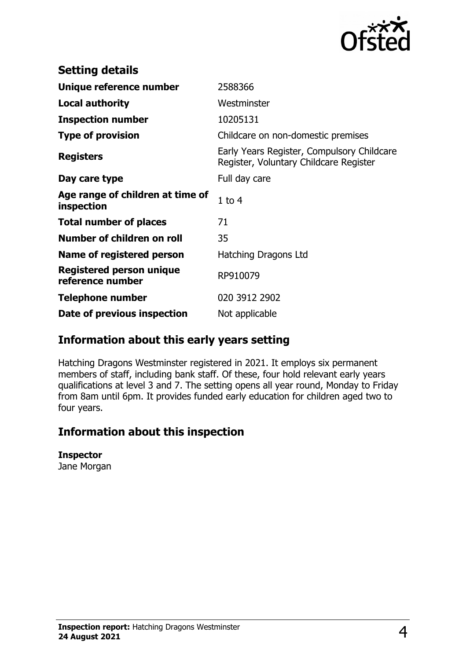

| <b>Setting details</b>                         |                                                                                      |
|------------------------------------------------|--------------------------------------------------------------------------------------|
| Unique reference number                        | 2588366                                                                              |
| <b>Local authority</b>                         | Westminster                                                                          |
| <b>Inspection number</b>                       | 10205131                                                                             |
| <b>Type of provision</b>                       | Childcare on non-domestic premises                                                   |
| <b>Registers</b>                               | Early Years Register, Compulsory Childcare<br>Register, Voluntary Childcare Register |
| Day care type                                  | Full day care                                                                        |
| Age range of children at time of<br>inspection | $1$ to $4$                                                                           |
| <b>Total number of places</b>                  | 71                                                                                   |
| Number of children on roll                     | 35                                                                                   |
| Name of registered person                      | Hatching Dragons Ltd                                                                 |
| Registered person unique<br>reference number   | RP910079                                                                             |
| Telephone number                               | 020 3912 2902                                                                        |
| Date of previous inspection                    | Not applicable                                                                       |

## **Information about this early years setting**

Hatching Dragons Westminster registered in 2021. It employs six permanent members of staff, including bank staff. Of these, four hold relevant early years qualifications at level 3 and 7. The setting opens all year round, Monday to Friday from 8am until 6pm. It provides funded early education for children aged two to four years.

## **Information about this inspection**

#### **Inspector**

Jane Morgan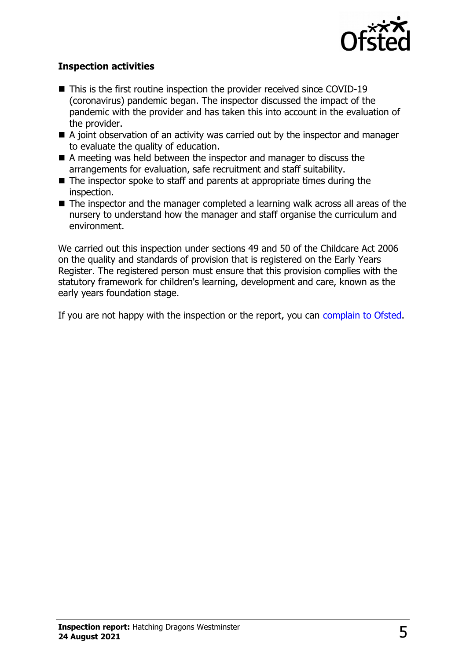

#### **Inspection activities**

- This is the first routine inspection the provider received since COVID-19 (coronavirus) pandemic began. The inspector discussed the impact of the pandemic with the provider and has taken this into account in the evaluation of the provider.
- $\blacksquare$  A joint observation of an activity was carried out by the inspector and manager to evaluate the quality of education.
- $\blacksquare$  A meeting was held between the inspector and manager to discuss the arrangements for evaluation, safe recruitment and staff suitability.
- $\blacksquare$  The inspector spoke to staff and parents at appropriate times during the inspection.
- $\blacksquare$  The inspector and the manager completed a learning walk across all areas of the nursery to understand how the manager and staff organise the curriculum and environment.

We carried out this inspection under sections 49 and 50 of the Childcare Act 2006 on the quality and standards of provision that is registered on the Early Years Register. The registered person must ensure that this provision complies with the statutory framework for children's learning, development and care, known as the early years foundation stage.

If you are not happy with the inspection or the report, you can [complain to Ofsted.](http://www.gov.uk/complain-ofsted-report)